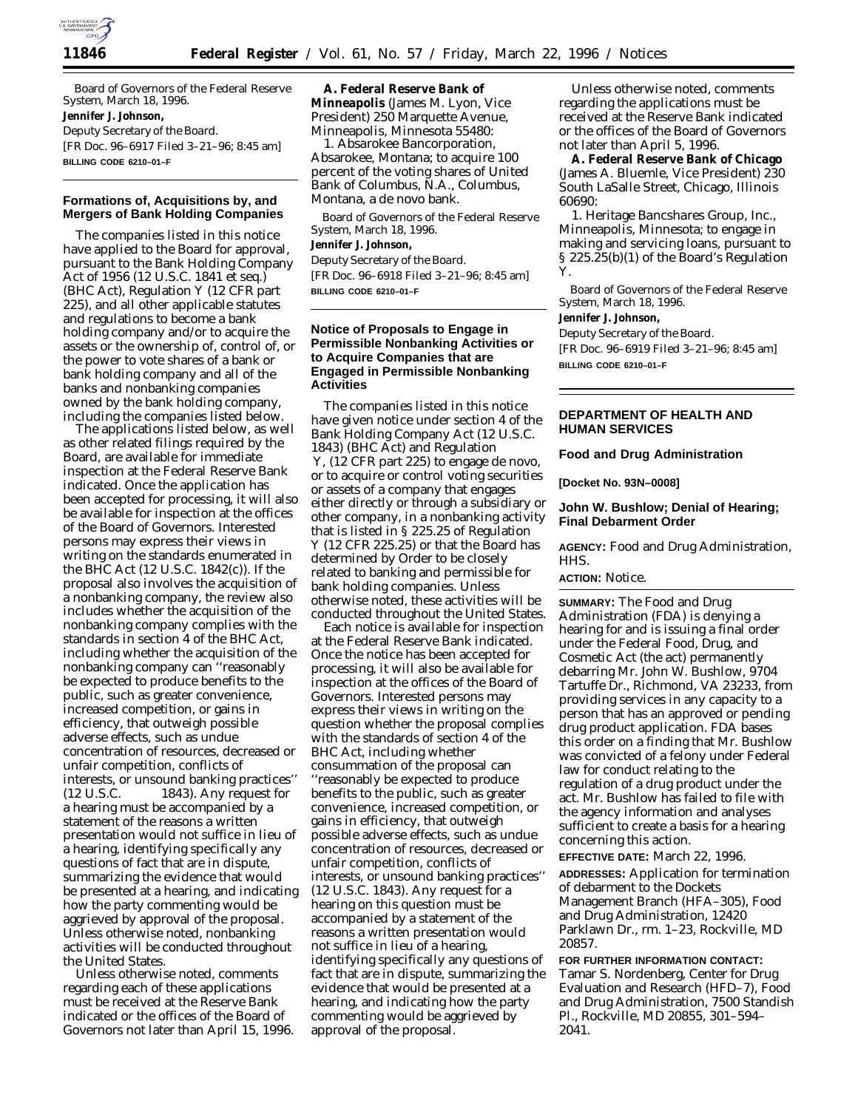

Board of Governors of the Federal Reserve System, March 18, 1996. **Jennifer J. Johnson,** *Deputy Secretary of the Board.* [FR Doc. 96–6917 Filed 3–21–96; 8:45 am] **BILLING CODE 6210–01–F**

## **Formations of, Acquisitions by, and Mergers of Bank Holding Companies**

The companies listed in this notice have applied to the Board for approval, pursuant to the Bank Holding Company Act of 1956 (12 U.S.C. 1841 *et seq*.) (BHC Act), Regulation Y (12 CFR part 225), and all other applicable statutes and regulations to become a bank holding company and/or to acquire the assets or the ownership of, control of, or the power to vote shares of a bank or bank holding company and all of the banks and nonbanking companies owned by the bank holding company, including the companies listed below.

The applications listed below, as well as other related filings required by the Board, are available for immediate inspection at the Federal Reserve Bank indicated. Once the application has been accepted for processing, it will also be available for inspection at the offices of the Board of Governors. Interested persons may express their views in writing on the standards enumerated in the BHC Act (12 U.S.C. 1842(c)). If the proposal also involves the acquisition of a nonbanking company, the review also includes whether the acquisition of the nonbanking company complies with the standards in section 4 of the BHC Act, including whether the acquisition of the nonbanking company can ''reasonably be expected to produce benefits to the public, such as greater convenience, increased competition, or gains in efficiency, that outweigh possible adverse effects, such as undue concentration of resources, decreased or unfair competition, conflicts of interests, or unsound banking practices'' (12 U.S.C. 1843). Any request for a hearing must be accompanied by a statement of the reasons a written presentation would not suffice in lieu of a hearing, identifying specifically any questions of fact that are in dispute, summarizing the evidence that would be presented at a hearing, and indicating how the party commenting would be aggrieved by approval of the proposal. Unless otherwise noted, nonbanking activities will be conducted throughout the United States.

Unless otherwise noted, comments regarding each of these applications must be received at the Reserve Bank indicated or the offices of the Board of Governors not later than April 15, 1996.

**A. Federal Reserve Bank of Minneapolis** (James M. Lyon, Vice President) 250 Marquette Avenue, Minneapolis, Minnesota 55480:

*1. Absarokee Bancorporation*, Absarokee, Montana; to acquire 100 percent of the voting shares of United Bank of Columbus, N.A., Columbus, Montana, a *de novo* bank.

Board of Governors of the Federal Reserve System, March 18, 1996. **Jennifer J. Johnson,** *Deputy Secretary of the Board.*

[FR Doc. 96–6918 Filed 3–21–96; 8:45 am] **BILLING CODE 6210–01–F**

# **Notice of Proposals to Engage in Permissible Nonbanking Activities or to Acquire Companies that are Engaged in Permissible Nonbanking Activities**

The companies listed in this notice have given notice under section 4 of the Bank Holding Company Act (12 U.S.C. 1843) (BHC Act) and Regulation Y, (12 CFR part 225) to engage *de novo*, or to acquire or control voting securities or assets of a company that engages either directly or through a subsidiary or other company, in a nonbanking activity that is listed in § 225.25 of Regulation Y (12 CFR 225.25) or that the Board has determined by Order to be closely related to banking and permissible for bank holding companies. Unless otherwise noted, these activities will be conducted throughout the United States.

Each notice is available for inspection at the Federal Reserve Bank indicated. Once the notice has been accepted for processing, it will also be available for inspection at the offices of the Board of Governors. Interested persons may express their views in writing on the question whether the proposal complies with the standards of section 4 of the BHC Act, including whether consummation of the proposal can ''reasonably be expected to produce benefits to the public, such as greater convenience, increased competition, or gains in efficiency, that outweigh possible adverse effects, such as undue concentration of resources, decreased or unfair competition, conflicts of interests, or unsound banking practices'' (12 U.S.C. 1843). Any request for a hearing on this question must be accompanied by a statement of the reasons a written presentation would not suffice in lieu of a hearing, identifying specifically any questions of fact that are in dispute, summarizing the evidence that would be presented at a hearing, and indicating how the party commenting would be aggrieved by approval of the proposal.

Unless otherwise noted, comments regarding the applications must be received at the Reserve Bank indicated or the offices of the Board of Governors not later than April 5, 1996.

**A. Federal Reserve Bank of Chicago** (James A. Bluemle, Vice President) 230 South LaSalle Street, Chicago, Illinois 60690:

*1. Heritage Bancshares Group, Inc.*, Minneapolis, Minnesota; to engage in making and servicing loans, pursuant to § 225.25(b)(1) of the Board's Regulation Y.

Board of Governors of the Federal Reserve System, March 18, 1996. **Jennifer J. Johnson,** *Deputy Secretary of the Board.* [FR Doc. 96–6919 Filed 3–21–96; 8:45 am] **BILLING CODE 6210–01–F**

# **DEPARTMENT OF HEALTH AND HUMAN SERVICES**

**Food and Drug Administration**

**[Docket No. 93N–0008]**

## **John W. Bushlow; Denial of Hearing; Final Debarment Order**

**AGENCY:** Food and Drug Administration, HHS.

## **ACTION:** Notice.

**SUMMARY:** The Food and Drug Administration (FDA) is denying a hearing for and is issuing a final order under the Federal Food, Drug, and Cosmetic Act (the act) permanently debarring Mr. John W. Bushlow, 9704 Tartuffe Dr., Richmond, VA 23233, from providing services in any capacity to a person that has an approved or pending drug product application. FDA bases this order on a finding that Mr. Bushlow was convicted of a felony under Federal law for conduct relating to the regulation of a drug product under the act. Mr. Bushlow has failed to file with the agency information and analyses sufficient to create a basis for a hearing concerning this action.

**EFFECTIVE DATE:** March 22, 1996.

**ADDRESSES:** Application for termination of debarment to the Dockets Management Branch (HFA–305), Food and Drug Administration, 12420 Parklawn Dr., rm. 1–23, Rockville, MD 20857.

**FOR FURTHER INFORMATION CONTACT:** Tamar S. Nordenberg, Center for Drug Evaluation and Research (HFD–7), Food and Drug Administration, 7500 Standish Pl., Rockville, MD 20855, 301–594– 2041.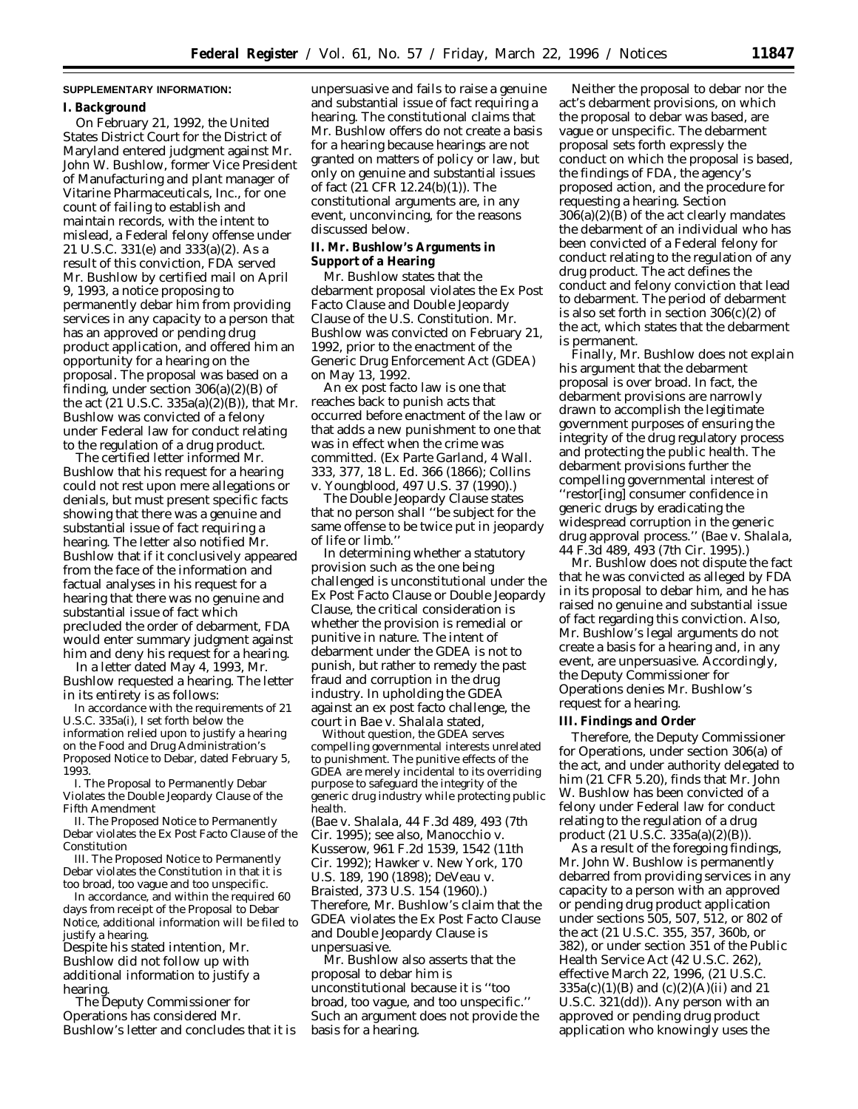### **SUPPLEMENTARY INFORMATION:**

#### **I. Background**

On February 21, 1992, the United States District Court for the District of Maryland entered judgment against Mr. John W. Bushlow, former Vice President of Manufacturing and plant manager of Vitarine Pharmaceuticals, Inc., for one count of failing to establish and maintain records, with the intent to mislead, a Federal felony offense under 21 U.S.C. 331(e) and 333(a)(2). As a result of this conviction, FDA served Mr. Bushlow by certified mail on April 9, 1993, a notice proposing to permanently debar him from providing services in any capacity to a person that has an approved or pending drug product application, and offered him an opportunity for a hearing on the proposal. The proposal was based on a finding, under section  $306(a)(2)(B)$  of the act (21 U.S.C. 335a(a)(2)(B)), that Mr. Bushlow was convicted of a felony under Federal law for conduct relating to the regulation of a drug product.

The certified letter informed Mr. Bushlow that his request for a hearing could not rest upon mere allegations or denials, but must present specific facts showing that there was a genuine and substantial issue of fact requiring a hearing. The letter also notified Mr. Bushlow that if it conclusively appeared from the face of the information and factual analyses in his request for a hearing that there was no genuine and substantial issue of fact which precluded the order of debarment, FDA would enter summary judgment against him and deny his request for a hearing.

In a letter dated May 4, 1993, Mr. Bushlow requested a hearing. The letter in its entirety is as follows:

In accordance with the requirements of 21 U.S.C. 335a(i), I set forth below the information relied upon to justify a hearing on the Food and Drug Administration's Proposed Notice to Debar, dated February 5, 1993.

I. The Proposal to Permanently Debar Violates the Double Jeopardy Clause of the Fifth Amendment

II. The Proposed Notice to Permanently Debar violates the Ex Post Facto Clause of the Constitution

III. The Proposed Notice to Permanently Debar violates the Constitution in that it is too broad, too vague and too unspecific.

In accordance, and within the required 60 days from receipt of the Proposal to Debar Notice, additional information will be filed to justify a hearing.

Despite his stated intention, Mr. Bushlow did not follow up with additional information to justify a hearing.

The Deputy Commissioner for Operations has considered Mr. Bushlow's letter and concludes that it is unpersuasive and fails to raise a genuine and substantial issue of fact requiring a hearing. The constitutional claims that Mr. Bushlow offers do not create a basis for a hearing because hearings are not granted on matters of policy or law, but only on genuine and substantial issues of fact (21 CFR 12.24(b)(1)). The constitutional arguments are, in any event, unconvincing, for the reasons discussed below.

**II. Mr. Bushlow's Arguments in Support of a Hearing**

Mr. Bushlow states that the debarment proposal violates the Ex Post Facto Clause and Double Jeopardy Clause of the U.S. Constitution. Mr. Bushlow was convicted on February 21, 1992, prior to the enactment of the Generic Drug Enforcement Act (GDEA) on May 13, 1992.

An ex post facto law is one that reaches back to punish acts that occurred before enactment of the law or that adds a new punishment to one that was in effect when the crime was committed. (*Ex Parte Garland*, 4 Wall. 333, 377, 18 L. Ed. 366 (1866); *Collins* v. *Youngblood*, 497 U.S. 37 (1990).)

The Double Jeopardy Clause states that no person shall ''be subject for the same offense to be twice put in jeopardy of life or limb.''

In determining whether a statutory provision such as the one being challenged is unconstitutional under the Ex Post Facto Clause or Double Jeopardy Clause, the critical consideration is whether the provision is remedial or punitive in nature. The intent of debarment under the GDEA is not to punish, but rather to remedy the past fraud and corruption in the drug industry. In upholding the GDEA against an ex post facto challenge, the court in *Bae* v. *Shalala* stated,

Without question, the GDEA serves compelling governmental interests unrelated to punishment. The punitive effects of the GDEA are merely incidental to its overriding purpose to safeguard the integrity of the generic drug industry while protecting public health.

(*Bae* v. *Shalala*, 44 F.3d 489, 493 (7th Cir. 1995); see also, *Manocchio* v. *Kusserow*, 961 F.2d 1539, 1542 (11th Cir. 1992); *Hawker* v. *New York*, 170 U.S. 189, 190 (1898); *DeVeau* v. *Braisted*, 373 U.S. 154 (1960).) Therefore, Mr. Bushlow's claim that the GDEA violates the Ex Post Facto Clause and Double Jeopardy Clause is unpersuasive.

Mr. Bushlow also asserts that the proposal to debar him is unconstitutional because it is ''too broad, too vague, and too unspecific.'' Such an argument does not provide the basis for a hearing.

Neither the proposal to debar nor the act's debarment provisions, on which the proposal to debar was based, are vague or unspecific. The debarment proposal sets forth expressly the conduct on which the proposal is based, the findings of FDA, the agency's proposed action, and the procedure for requesting a hearing. Section  $306(a)(2)(B)$  of the act clearly mandates the debarment of an individual who has been convicted of a Federal felony for conduct relating to the regulation of any drug product. The act defines the conduct and felony conviction that lead to debarment. The period of debarment is also set forth in section 306(c)(2) of the act, which states that the debarment is permanent.

Finally, Mr. Bushlow does not explain his argument that the debarment proposal is over broad. In fact, the debarment provisions are narrowly drawn to accomplish the legitimate government purposes of ensuring the integrity of the drug regulatory process and protecting the public health. The debarment provisions further the compelling governmental interest of ''restor[ing] consumer confidence in generic drugs by eradicating the widespread corruption in the generic drug approval process.'' (*Bae* v. *Shalala*, 44 F.3d 489, 493 (7th Cir. 1995).)

Mr. Bushlow does not dispute the fact that he was convicted as alleged by FDA in its proposal to debar him, and he has raised no genuine and substantial issue of fact regarding this conviction. Also, Mr. Bushlow's legal arguments do not create a basis for a hearing and, in any event, are unpersuasive. Accordingly, the Deputy Commissioner for Operations denies Mr. Bushlow's request for a hearing.

### **III. Findings and Order**

Therefore, the Deputy Commissioner for Operations, under section 306(a) of the act, and under authority delegated to him (21 CFR 5.20), finds that Mr. John W. Bushlow has been convicted of a felony under Federal law for conduct relating to the regulation of a drug product (21 U.S.C. 335a(a)(2)(B)).

As a result of the foregoing findings, Mr. John W. Bushlow is permanently debarred from providing services in any capacity to a person with an approved or pending drug product application under sections 505, 507, 512, or 802 of the act (21 U.S.C. 355, 357, 360b, or 382), or under section 351 of the Public Health Service Act (42 U.S.C. 262), effective March 22, 1996, (21 U.S.C.  $335a(c)(1)(B)$  and  $(c)(2)(A)(ii)$  and 21 U.S.C. 321(dd)). Any person with an approved or pending drug product application who knowingly uses the